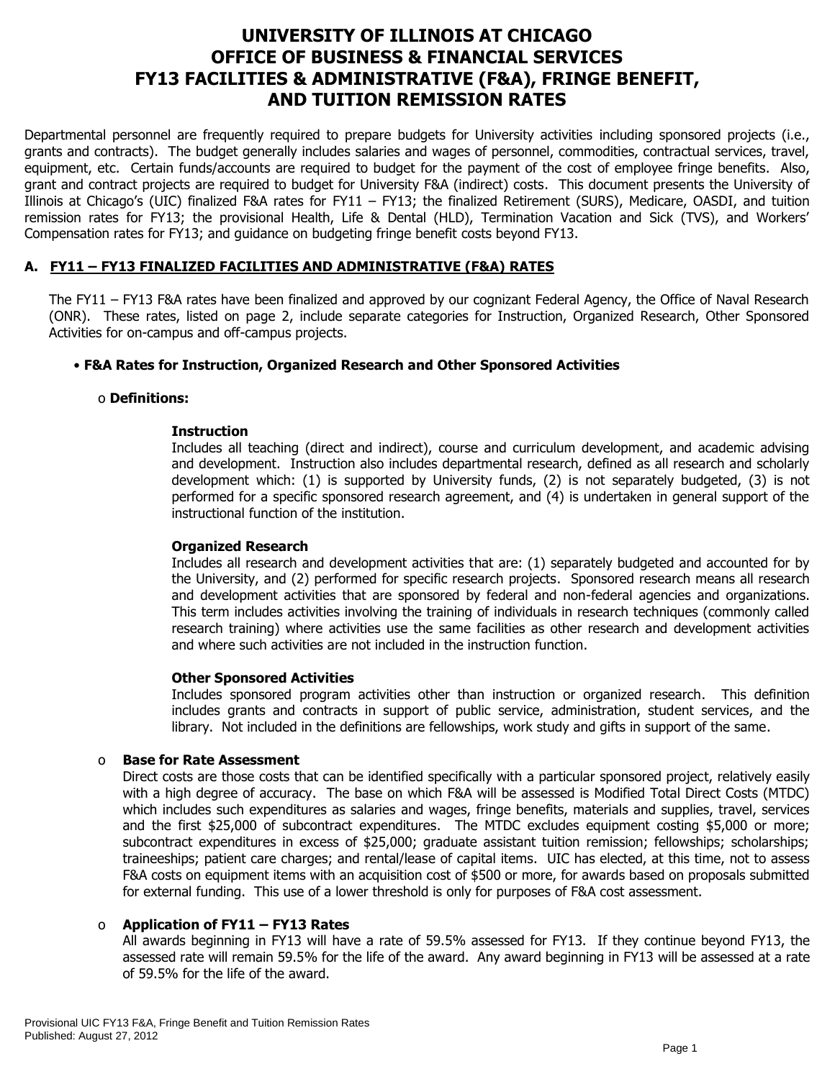# **UNIVERSITY OF ILLINOIS AT CHICAGO OFFICE OF BUSINESS & FINANCIAL SERVICES FY13 FACILITIES & ADMINISTRATIVE (F&A), FRINGE BENEFIT, AND TUITION REMISSION RATES**

Departmental personnel are frequently required to prepare budgets for University activities including sponsored projects (i.e., grants and contracts). The budget generally includes salaries and wages of personnel, commodities, contractual services, travel, equipment, etc. Certain funds/accounts are required to budget for the payment of the cost of employee fringe benefits. Also, grant and contract projects are required to budget for University F&A (indirect) costs. This document presents the University of Illinois at Chicago's (UIC) finalized F&A rates for FY11 – FY13; the finalized Retirement (SURS), Medicare, OASDI, and tuition remission rates for FY13; the provisional Health, Life & Dental (HLD), Termination Vacation and Sick (TVS), and Workers' Compensation rates for FY13; and guidance on budgeting fringe benefit costs beyond FY13.

## **A. FY11 – FY13 FINALIZED FACILITIES AND ADMINISTRATIVE (F&A) RATES**

The FY11 – FY13 F&A rates have been finalized and approved by our cognizant Federal Agency, the Office of Naval Research (ONR). These rates, listed on page 2, include separate categories for Instruction, Organized Research, Other Sponsored Activities for on-campus and off-campus projects.

## • **F&A Rates for Instruction, Organized Research and Other Sponsored Activities**

#### o **Definitions:**

## **Instruction**

Includes all teaching (direct and indirect), course and curriculum development, and academic advising and development. Instruction also includes departmental research, defined as all research and scholarly development which: (1) is supported by University funds, (2) is not separately budgeted, (3) is not performed for a specific sponsored research agreement, and (4) is undertaken in general support of the instructional function of the institution.

#### **Organized Research**

Includes all research and development activities that are: (1) separately budgeted and accounted for by the University, and (2) performed for specific research projects. Sponsored research means all research and development activities that are sponsored by federal and non-federal agencies and organizations. This term includes activities involving the training of individuals in research techniques (commonly called research training) where activities use the same facilities as other research and development activities and where such activities are not included in the instruction function.

#### **Other Sponsored Activities**

Includes sponsored program activities other than instruction or organized research. This definition includes grants and contracts in support of public service, administration, student services, and the library. Not included in the definitions are fellowships, work study and gifts in support of the same.

#### o **Base for Rate Assessment**

Direct costs are those costs that can be identified specifically with a particular sponsored project, relatively easily with a high degree of accuracy. The base on which F&A will be assessed is Modified Total Direct Costs (MTDC) which includes such expenditures as salaries and wages, fringe benefits, materials and supplies, travel, services and the first \$25,000 of subcontract expenditures. The MTDC excludes equipment costing \$5,000 or more; subcontract expenditures in excess of \$25,000; graduate assistant tuition remission; fellowships; scholarships; traineeships; patient care charges; and rental/lease of capital items. UIC has elected, at this time, not to assess F&A costs on equipment items with an acquisition cost of \$500 or more, for awards based on proposals submitted for external funding. This use of a lower threshold is only for purposes of F&A cost assessment.

## o **Application of FY11 – FY13 Rates**

All awards beginning in FY13 will have a rate of 59.5% assessed for FY13. If they continue beyond FY13, the assessed rate will remain 59.5% for the life of the award. Any award beginning in FY13 will be assessed at a rate of 59.5% for the life of the award.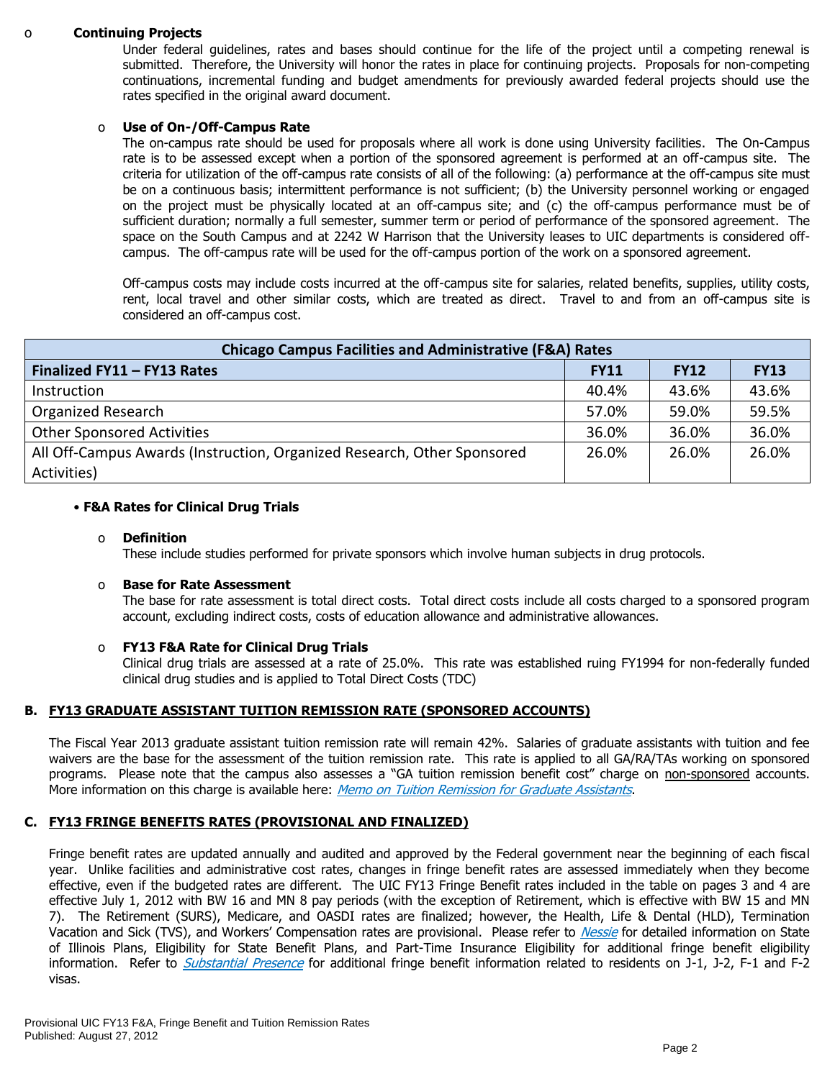#### o **Continuing Projects**

Under federal guidelines, rates and bases should continue for the life of the project until a competing renewal is submitted. Therefore, the University will honor the rates in place for continuing projects. Proposals for non-competing continuations, incremental funding and budget amendments for previously awarded federal projects should use the rates specified in the original award document.

#### o **Use of On-/Off-Campus Rate**

The on-campus rate should be used for proposals where all work is done using University facilities. The On-Campus rate is to be assessed except when a portion of the sponsored agreement is performed at an off-campus site. The criteria for utilization of the off-campus rate consists of all of the following: (a) performance at the off-campus site must be on a continuous basis; intermittent performance is not sufficient; (b) the University personnel working or engaged on the project must be physically located at an off-campus site; and (c) the off-campus performance must be of sufficient duration; normally a full semester, summer term or period of performance of the sponsored agreement. The space on the South Campus and at 2242 W Harrison that the University leases to UIC departments is considered offcampus. The off-campus rate will be used for the off-campus portion of the work on a sponsored agreement.

Off-campus costs may include costs incurred at the off-campus site for salaries, related benefits, supplies, utility costs, rent, local travel and other similar costs, which are treated as direct. Travel to and from an off-campus site is considered an off-campus cost.

| <b>Chicago Campus Facilities and Administrative (F&amp;A) Rates</b>     |             |             |             |  |  |  |  |
|-------------------------------------------------------------------------|-------------|-------------|-------------|--|--|--|--|
| Finalized FY11 - FY13 Rates                                             | <b>FY11</b> | <b>FY12</b> | <b>FY13</b> |  |  |  |  |
| Instruction                                                             | 40.4%       | 43.6%       | 43.6%       |  |  |  |  |
| <b>Organized Research</b>                                               | 57.0%       | 59.0%       | 59.5%       |  |  |  |  |
| <b>Other Sponsored Activities</b>                                       | 36.0%       | 36.0%       | 36.0%       |  |  |  |  |
| All Off-Campus Awards (Instruction, Organized Research, Other Sponsored | 26.0%       | 26.0%       | 26.0%       |  |  |  |  |
| Activities)                                                             |             |             |             |  |  |  |  |

#### • **F&A Rates for Clinical Drug Trials**

#### o **Definition**

These include studies performed for private sponsors which involve human subjects in drug protocols.

#### o **Base for Rate Assessment**

The base for rate assessment is total direct costs. Total direct costs include all costs charged to a sponsored program account, excluding indirect costs, costs of education allowance and administrative allowances.

#### o **FY13 F&A Rate for Clinical Drug Trials**

Clinical drug trials are assessed at a rate of 25.0%. This rate was established ruing FY1994 for non-federally funded clinical drug studies and is applied to Total Direct Costs (TDC)

#### **B. FY13 GRADUATE ASSISTANT TUITION REMISSION RATE (SPONSORED ACCOUNTS)**

The Fiscal Year 2013 graduate assistant tuition remission rate will remain 42%.Salaries of graduate assistants with tuition and fee waivers are the base for the assessment of the tuition remission rate. This rate is applied to all GA/RA/TAs working on sponsored programs. Please note that the campus also assesses a "GA tuition remission benefit cost" charge on non-sponsored accounts. More information on this charge is available here: [Memo on Tuition Remission for Graduate Assistants](https://www.obfs.uillinois.edu/common/pages/DisplayFile.aspx?itemId=436386).

#### **C. FY13 FRINGE BENEFITS RATES (PROVISIONAL AND FINALIZED)**

Fringe benefit rates are updated annually and audited and approved by the Federal government near the beginning of each fiscal year. Unlike facilities and administrative cost rates, changes in fringe benefit rates are assessed immediately when they become effective, even if the budgeted rates are different. The UIC FY13 Fringe Benefit rates included in the table on pages 3 and 4 are effective July 1, 2012 with BW 16 and MN 8 pay periods (with the exception of Retirement, which is effective with BW 15 and MN 7). The Retirement (SURS), Medicare, and OASDI rates are finalized; however, the Health, Life & Dental (HLD), Termination Vacation and Sick (TVS), and Workers' Compensation rates are provisional. Please refer to [Nessie](http://nessie.uihr.uillinois.edu/cf/benefits/) for detailed information on State of Illinois Plans, Eligibility for State Benefit Plans, and Part-Time Insurance Eligibility for additional fringe benefit eligibility information. Refer to *[Substantial Presence](http://www.uic.edu/com/gme/rpm_comp___benefits.htm#real_substantial_pres)* for additional fringe benefit information related to residents on J-1, J-2, F-1 and F-2 visas.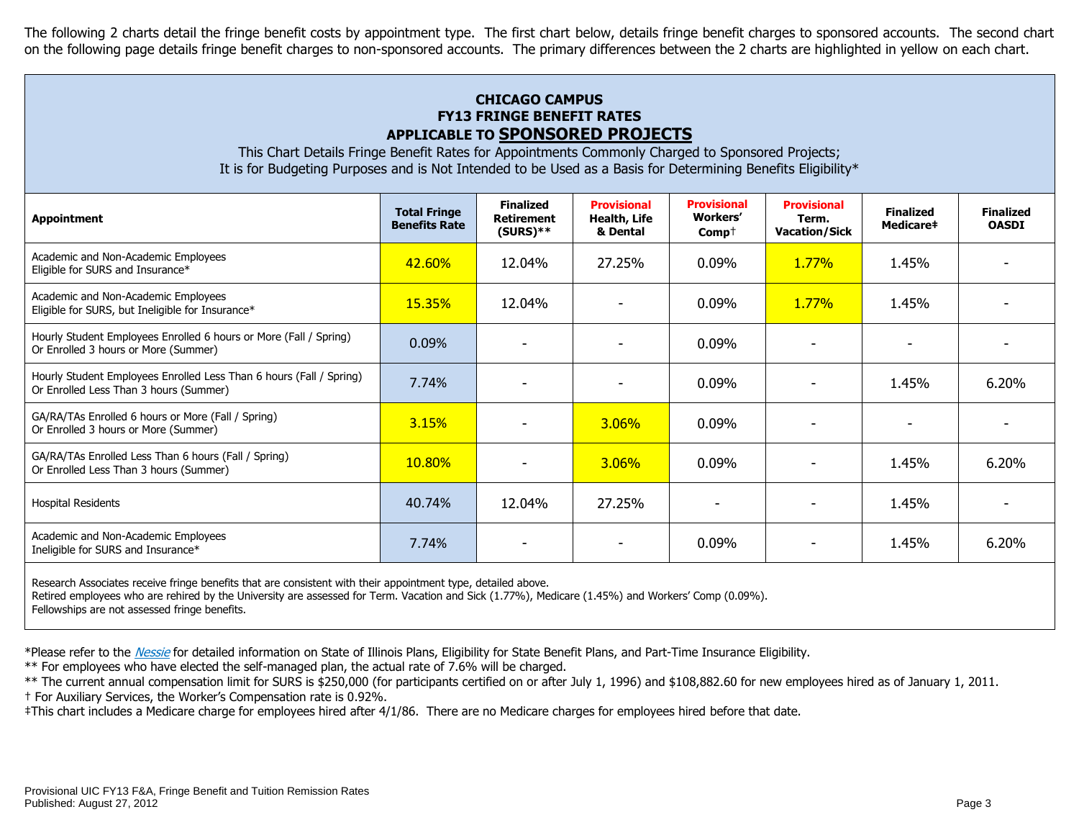The following 2 charts detail the fringe benefit costs by appointment type. The first chart below, details fringe benefit charges to sponsored accounts. The second chart on the following page details fringe benefit charges to non-sponsored accounts. The primary differences between the 2 charts are highlighted in yellow on each chart.

# **CHICAGO CAMPUS FY13 FRINGE BENEFIT RATES APPLICABLE TO SPONSORED PROJECTS**

This Chart Details Fringe Benefit Rates for Appointments Commonly Charged to Sponsored Projects; It is for Budgeting Purposes and is Not Intended to be Used as a Basis for Determining Benefits Eligibility\*

| <b>Appointment</b>                                                                                                   | <b>Total Fringe</b><br><b>Benefits Rate</b> | <b>Finalized</b><br><b>Retirement</b><br>$(SURS)$ ** | <b>Provisional</b><br>Health, Life<br>& Dental | <b>Provisional</b><br><b>Workers'</b><br>$Comp+$ | <b>Provisional</b><br>Term.<br><b>Vacation/Sick</b> | <b>Finalized</b><br><b>Medicare#</b> | <b>Finalized</b><br><b>OASDI</b> |
|----------------------------------------------------------------------------------------------------------------------|---------------------------------------------|------------------------------------------------------|------------------------------------------------|--------------------------------------------------|-----------------------------------------------------|--------------------------------------|----------------------------------|
| Academic and Non-Academic Employees<br>Eligible for SURS and Insurance*                                              | 42.60%                                      | 12.04%                                               | 27.25%                                         | 0.09%                                            | 1.77%                                               | 1.45%                                |                                  |
| Academic and Non-Academic Employees<br>Eligible for SURS, but Ineligible for Insurance*                              | <b>15.35%</b>                               | 12.04%                                               |                                                | 0.09%                                            | 1.77%                                               | 1.45%                                |                                  |
| Hourly Student Employees Enrolled 6 hours or More (Fall / Spring)<br>Or Enrolled 3 hours or More (Summer)            | 0.09%                                       |                                                      |                                                | 0.09%                                            |                                                     |                                      |                                  |
| Hourly Student Employees Enrolled Less Than 6 hours (Fall / Spring)<br>Or Enrolled Less Than 3 hours (Summer)        | 7.74%                                       |                                                      |                                                | 0.09%                                            |                                                     | 1.45%                                | 6.20%                            |
| GA/RA/TAs Enrolled 6 hours or More (Fall / Spring)<br>Or Enrolled 3 hours or More (Summer)                           | 3.15%                                       |                                                      | <b>3.06%</b>                                   | 0.09%                                            |                                                     |                                      |                                  |
| GA/RA/TAs Enrolled Less Than 6 hours (Fall / Spring)<br>Or Enrolled Less Than 3 hours (Summer)                       | 10.80%                                      |                                                      | 3.06%                                          | 0.09%                                            |                                                     | 1.45%                                | 6.20%                            |
| <b>Hospital Residents</b>                                                                                            | 40.74%                                      | 12.04%                                               | 27.25%                                         |                                                  |                                                     | 1.45%                                |                                  |
| Academic and Non-Academic Employees<br>Ineligible for SURS and Insurance*                                            | 7.74%                                       |                                                      |                                                | 0.09%                                            |                                                     | 1.45%                                | 6.20%                            |
| .<br>the contract of the contract of the contract of the contract of the contract of the contract of the contract of |                                             |                                                      |                                                |                                                  |                                                     |                                      |                                  |

Research Associates receive fringe benefits that are consistent with their appointment type, detailed above.

Retired employees who are rehired by the University are assessed for Term. Vacation and Sick (1.77%), Medicare (1.45%) and Workers' Comp (0.09%).

Fellowships are not assessed fringe benefits.

\*Please refer to the [Nessie](http://nessie.uihr.uillinois.edu/cf/benefits/) for detailed information on State of Illinois Plans, Eligibility for State Benefit Plans, and Part-Time Insurance Eligibility.

\*\* For employees who have elected the self-managed plan, the actual rate of 7.6% will be charged.

\*\* The current annual compensation limit for SURS is \$250,000 (for participants certified on or after July 1, 1996) and \$108,882.60 for new employees hired as of January 1, 2011. † For Auxiliary Services, the Worker's Compensation rate is 0.92%.

‡This chart includes a Medicare charge for employees hired after 4/1/86. There are no Medicare charges for employees hired before that date.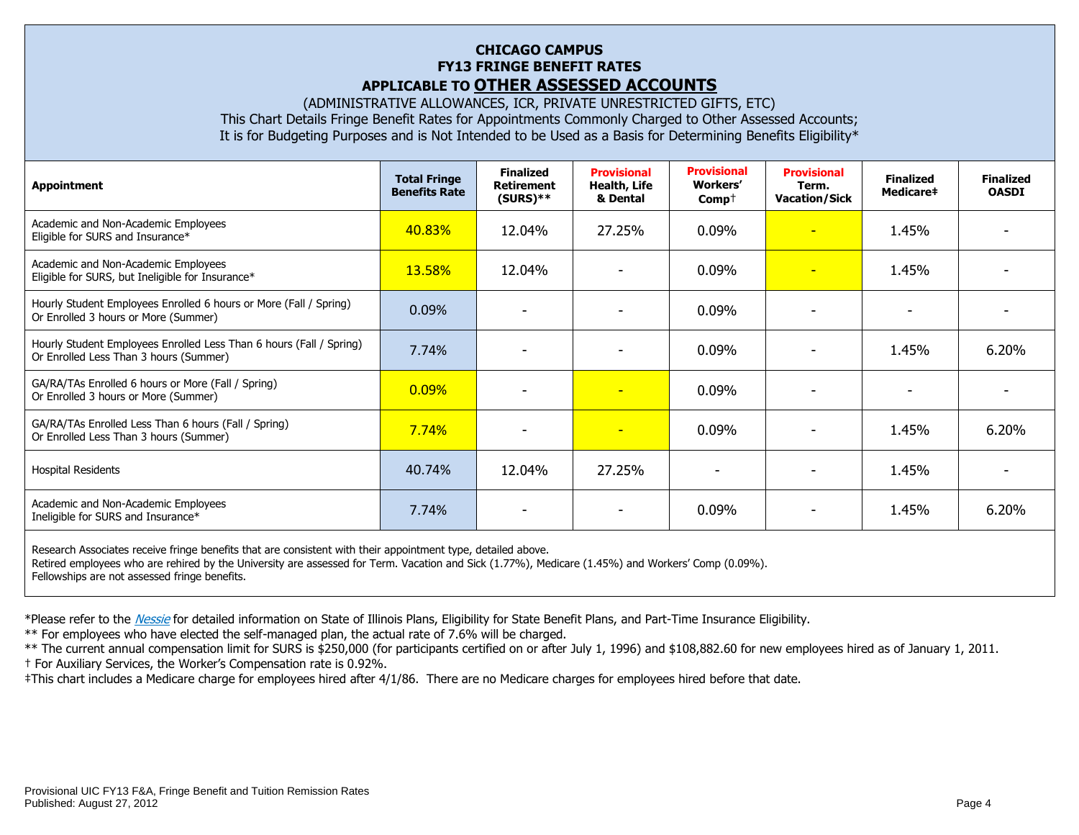## **CHICAGO CAMPUS FY13 FRINGE BENEFIT RATES APPLICABLE TO OTHER ASSESSED ACCOUNTS**

(ADMINISTRATIVE ALLOWANCES, ICR, PRIVATE UNRESTRICTED GIFTS, ETC) This Chart Details Fringe Benefit Rates for Appointments Commonly Charged to Other Assessed Accounts; It is for Budgeting Purposes and is Not Intended to be Used as a Basis for Determining Benefits Eligibility\*

| <b>Appointment</b>                                                                                            | <b>Total Fringe</b><br><b>Benefits Rate</b> | <b>Finalized</b><br><b>Retirement</b><br>$(SURS)**$ | <b>Provisional</b><br>Health, Life<br>& Dental | <b>Provisional</b><br><b>Workers'</b><br>$Comp+$ | <b>Provisional</b><br>Term.<br><b>Vacation/Sick</b> | <b>Finalized</b><br>Medicare‡ | <b>Finalized</b><br><b>OASDI</b> |
|---------------------------------------------------------------------------------------------------------------|---------------------------------------------|-----------------------------------------------------|------------------------------------------------|--------------------------------------------------|-----------------------------------------------------|-------------------------------|----------------------------------|
| Academic and Non-Academic Employees<br>Eligible for SURS and Insurance*                                       | 40.83%                                      | 12.04%                                              | 27.25%                                         | 0.09%                                            | $\overline{\phantom{a}}$                            | 1.45%                         |                                  |
| Academic and Non-Academic Employees<br>Eligible for SURS, but Ineligible for Insurance*                       | 13.58%                                      | 12.04%                                              |                                                | 0.09%                                            | н                                                   | 1.45%                         |                                  |
| Hourly Student Employees Enrolled 6 hours or More (Fall / Spring)<br>Or Enrolled 3 hours or More (Summer)     | 0.09%                                       |                                                     |                                                | 0.09%                                            |                                                     |                               |                                  |
| Hourly Student Employees Enrolled Less Than 6 hours (Fall / Spring)<br>Or Enrolled Less Than 3 hours (Summer) | 7.74%                                       |                                                     |                                                | 0.09%                                            |                                                     | 1.45%                         | 6.20%                            |
| GA/RA/TAs Enrolled 6 hours or More (Fall / Spring)<br>Or Enrolled 3 hours or More (Summer)                    | 0.09%                                       |                                                     | $\overline{\phantom{0}}$                       | 0.09%                                            |                                                     |                               |                                  |
| GA/RA/TAs Enrolled Less Than 6 hours (Fall / Spring)<br>Or Enrolled Less Than 3 hours (Summer)                | 7.74%                                       | $\overline{\phantom{a}}$                            | $\overline{\phantom{a}}$                       | 0.09%                                            |                                                     | 1.45%                         | 6.20%                            |
| <b>Hospital Residents</b>                                                                                     | 40.74%                                      | 12.04%                                              | 27.25%                                         | $\overline{\phantom{0}}$                         |                                                     | 1.45%                         |                                  |
| Academic and Non-Academic Employees<br>Ineligible for SURS and Insurance*                                     | 7.74%                                       |                                                     |                                                | 0.09%                                            |                                                     | 1.45%                         | 6.20%                            |
| Research Associates receive fringe benefits that are consistent with their appointment type, detailed above.  |                                             |                                                     |                                                |                                                  |                                                     |                               |                                  |

Retired employees who are rehired by the University are assessed for Term. Vacation and Sick (1.77%), Medicare (1.45%) and Workers' Comp (0.09%). Fellowships are not assessed fringe benefits.

\*Please refer to the [Nessie](http://nessie.uihr.uillinois.edu/cf/benefits/) for detailed information on State of Illinois Plans, Eligibility for State Benefit Plans, and Part-Time Insurance Eligibility.

\*\* For employees who have elected the self-managed plan, the actual rate of 7.6% will be charged.

\*\* The current annual compensation limit for SURS is \$250,000 (for participants certified on or after July 1, 1996) and \$108,882.60 for new employees hired as of January 1, 2011.

† For Auxiliary Services, the Worker's Compensation rate is 0.92%.

‡This chart includes a Medicare charge for employees hired after 4/1/86. There are no Medicare charges for employees hired before that date.